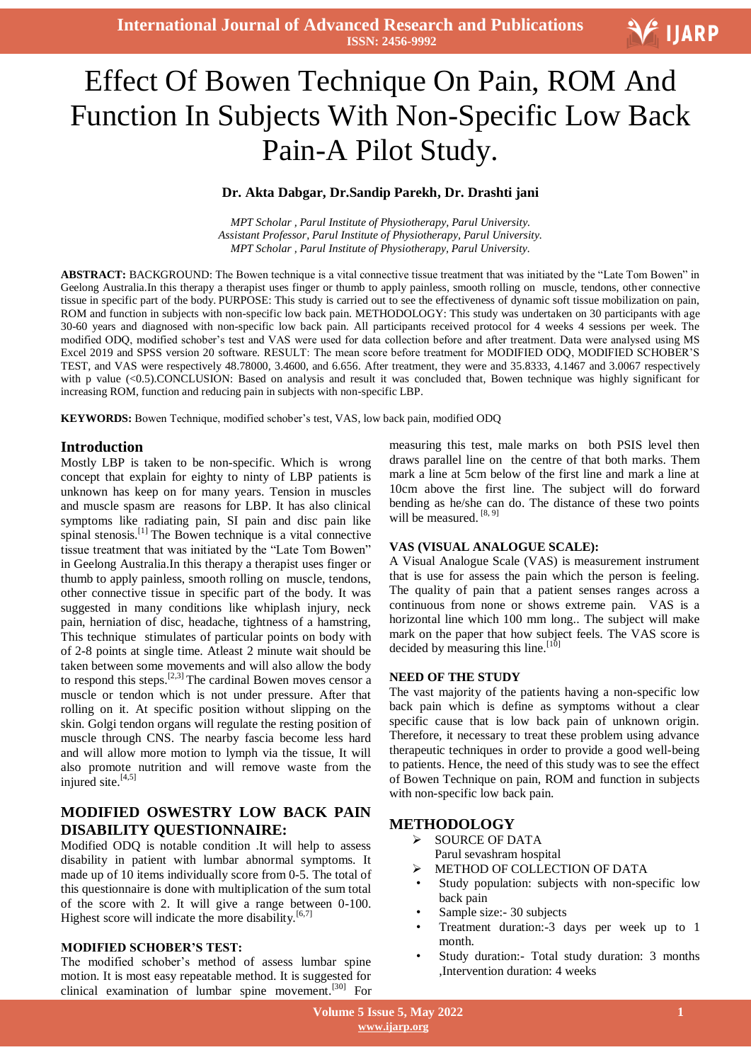**International Journal of Advanced Research and Publications ISSN: 2456-9992**

# Effect Of Bowen Technique On Pain, ROM And Function In Subjects With Non-Specific Low Back Pain-A Pilot Study.

#### **Dr. Akta Dabgar, Dr.Sandip Parekh, Dr. Drashti jani**

*MPT Scholar , Parul Institute of Physiotherapy, Parul University. Assistant Professor, Parul Institute of Physiotherapy, Parul University. MPT Scholar , Parul Institute of Physiotherapy, Parul University.*

**ABSTRACT:** BACKGROUND: The Bowen technique is a vital connective tissue treatment that was initiated by the "Late Tom Bowen" in Geelong Australia.In this therapy a therapist uses finger or thumb to apply painless, smooth rolling on muscle, tendons, other connective tissue in specific part of the body. PURPOSE: This study is carried out to see the effectiveness of dynamic soft tissue mobilization on pain, ROM and function in subjects with non-specific low back pain. METHODOLOGY: This study was undertaken on 30 participants with age 30-60 years and diagnosed with non-specific low back pain. All participants received protocol for 4 weeks 4 sessions per week. The modified ODQ, modified schober"s test and VAS were used for data collection before and after treatment. Data were analysed using MS Excel 2019 and SPSS version 20 software. RESULT: The mean score before treatment for MODIFIED ODQ, MODIFIED SCHOBER"S TEST, and VAS were respectively 48.78000, 3.4600, and 6.656. After treatment, they were and 35.8333, 4.1467 and 3.0067 respectively with p value (<0.5).CONCLUSION: Based on analysis and result it was concluded that, Bowen technique was highly significant for increasing ROM, function and reducing pain in subjects with non-specific LBP.

**KEYWORDS:** Bowen Technique, modified schober"s test, VAS, low back pain, modified ODQ

#### **Introduction**

Mostly LBP is taken to be non-specific. Which is wrong concept that explain for eighty to ninty of LBP patients is unknown has keep on for many years. Tension in muscles and muscle spasm are reasons for LBP. It has also clinical symptoms like radiating pain, SI pain and disc pain like spinal stenosis.<sup>[1]</sup> The Bowen technique is a vital connective tissue treatment that was initiated by the "Late Tom Bowen" in Geelong Australia.In this therapy a therapist uses finger or thumb to apply painless, smooth rolling on muscle, tendons, other connective tissue in specific part of the body. It was suggested in many conditions like whiplash injury, neck pain, herniation of disc, headache, tightness of a hamstring, This technique stimulates of particular points on body with of 2-8 points at single time. Atleast 2 minute wait should be taken between some movements and will also allow the body to respond this steps.<sup>[2,3]</sup> The cardinal Bowen moves censor a muscle or tendon which is not under pressure. After that rolling on it. At specific position without slipping on the skin. Golgi tendon organs will regulate the resting position of muscle through CNS. The nearby fascia become less hard and will allow more motion to lymph via the tissue, It will also promote nutrition and will remove waste from the injured site.<sup>[4,5]</sup>

# **MODIFIED OSWESTRY LOW BACK PAIN DISABILITY QUESTIONNAIRE:**

Modified ODQ is notable condition .It will help to assess disability in patient with lumbar abnormal symptoms. It made up of 10 items individually score from 0-5. The total of this questionnaire is done with multiplication of the sum total of the score with 2. It will give a range between 0-100. Highest score will indicate the more disability.<sup>[6,7]</sup>

#### **MODIFIED SCHOBER'S TEST:**

The modified schober"s method of assess lumbar spine motion. It is most easy repeatable method. It is suggested for clinical examination of lumbar spine movement.[30] For measuring this test, male marks on both PSIS level then draws parallel line on the centre of that both marks. Them mark a line at 5cm below of the first line and mark a line at 10cm above the first line. The subject will do forward bending as he/she can do. The distance of these two points will be measured. [8, 9]

#### **VAS (VISUAL ANALOGUE SCALE):**

A Visual Analogue Scale (VAS) is measurement instrument that is use for assess the pain which the person is feeling. The quality of pain that a patient senses ranges across a continuous from none or shows extreme pain. VAS is a horizontal line which 100 mm long.. The subject will make mark on the paper that how subject feels. The VAS score is decided by measuring this line.  $[10]$ 

#### **NEED OF THE STUDY**

The vast majority of the patients having a non-specific low back pain which is define as symptoms without a clear specific cause that is low back pain of unknown origin. Therefore, it necessary to treat these problem using advance therapeutic techniques in order to provide a good well-being to patients. Hence, the need of this study was to see the effect of Bowen Technique on pain, ROM and function in subjects with non-specific low back pain.

#### **METHODOLOGY**

- $\triangleright$  SOURCE OF DATA
- Parul sevashram hospital
- METHOD OF COLLECTION OF DATA
- Study population: subjects with non-specific low back pain
- Sample size: 30 subjects
- Treatment duration:-3 days per week up to 1 month.
- Study duration:- Total study duration: 3 months ,Intervention duration: 4 weeks

V IJARP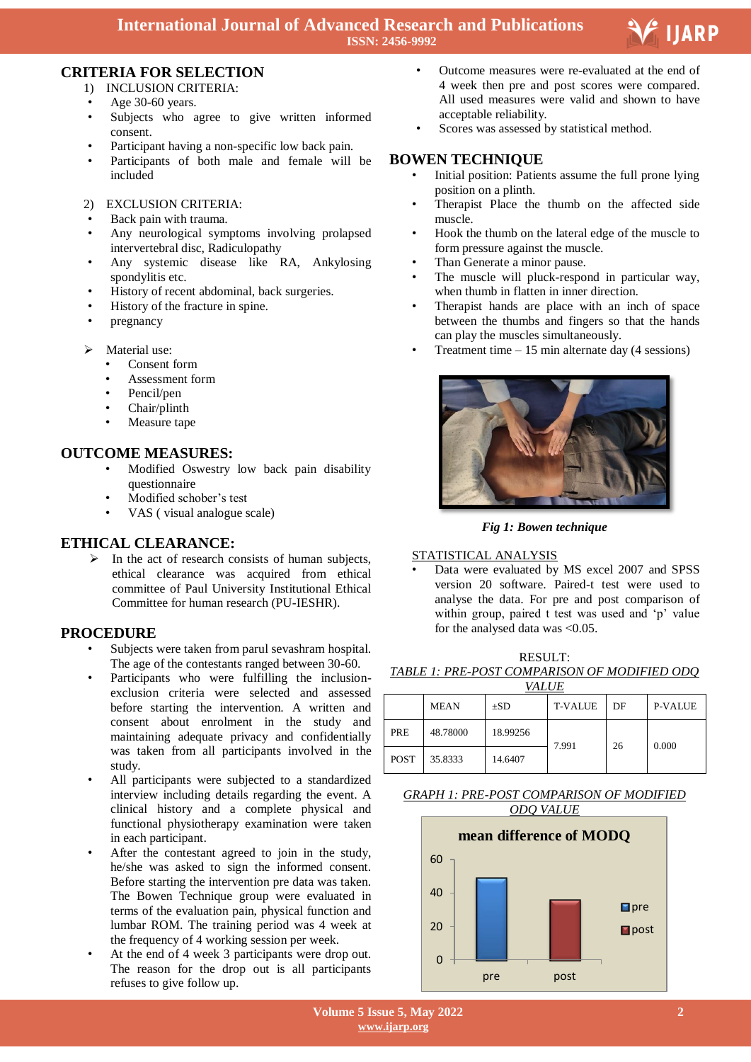

# **CRITERIA FOR SELECTION**

- 1) INCLUSION CRITERIA:
- Age 30-60 years.
- Subjects who agree to give written informed consent.
- Participant having a non-specific low back pain.
- Participants of both male and female will be included
- 2) EXCLUSION CRITERIA:
- Back pain with trauma.
- Any neurological symptoms involving prolapsed intervertebral disc, Radiculopathy
- Any systemic disease like RA, Ankylosing spondylitis etc.
- History of recent abdominal, back surgeries.
- History of the fracture in spine.
- pregnancy
- $\triangleright$  Material use:
	- Consent form
	- Assessment form
	- Pencil/pen
	- Chair/plinth
	- Measure tape

# **OUTCOME MEASURES:**

- Modified Oswestry low back pain disability questionnaire
- Modified schober"s test
- VAS ( visual analogue scale)

# **ETHICAL CLEARANCE:**

 $\triangleright$  In the act of research consists of human subjects, ethical clearance was acquired from ethical committee of Paul University Institutional Ethical Committee for human research (PU-IESHR).

# **PROCEDURE**

- Subjects were taken from parul sevashram hospital. The age of the contestants ranged between 30-60.
- Participants who were fulfilling the inclusionexclusion criteria were selected and assessed before starting the intervention. A written and consent about enrolment in the study and maintaining adequate privacy and confidentially was taken from all participants involved in the study.
- All participants were subjected to a standardized interview including details regarding the event. A clinical history and a complete physical and functional physiotherapy examination were taken in each participant.
- After the contestant agreed to join in the study, he/she was asked to sign the informed consent. Before starting the intervention pre data was taken. The Bowen Technique group were evaluated in terms of the evaluation pain, physical function and lumbar ROM. The training period was 4 week at the frequency of 4 working session per week.
- At the end of 4 week 3 participants were drop out. The reason for the drop out is all participants refuses to give follow up.
- • Outcome measures were re-evaluated at the end of 4 week then pre and post scores were compared. All used measures were valid and shown to have acceptable reliability.
- Scores was assessed by statistical method.

## **BOWEN TECHNIQUE**

- Initial position: Patients assume the full prone lying position on a plinth.
- Therapist Place the thumb on the affected side muscle.
- Hook the thumb on the lateral edge of the muscle to form pressure against the muscle.
- Than Generate a minor pause.
- The muscle will pluck-respond in particular way, when thumb in flatten in inner direction.
- Therapist hands are place with an inch of space between the thumbs and fingers so that the hands can play the muscles simultaneously.
- Treatment time  $-15$  min alternate day (4 sessions)



*Fig 1: Bowen technique*

## STATISTICAL ANALYSIS

• Data were evaluated by MS excel 2007 and SPSS version 20 software. Paired-t test were used to analyse the data. For pre and post comparison of within group, paired t test was used and 'p' value for the analysed data was <0.05.

RESULT: *TABLE 1: PRE-POST COMPARISON OF MODIFIED ODQ* 

| <i>VALUE</i> |             |          |                |    |                |  |  |  |
|--------------|-------------|----------|----------------|----|----------------|--|--|--|
|              | <b>MEAN</b> | $\pm SD$ | <b>T-VALUE</b> | DF | <b>P-VALUE</b> |  |  |  |
| <b>PRE</b>   | 48.78000    | 18.99256 | 7.991          | 26 | 0.000          |  |  |  |
| <b>POST</b>  | 35.8333     | 14.6407  |                |    |                |  |  |  |

## *GRAPH 1: PRE-POST COMPARISON OF MODIFIED ODQ VALUE*

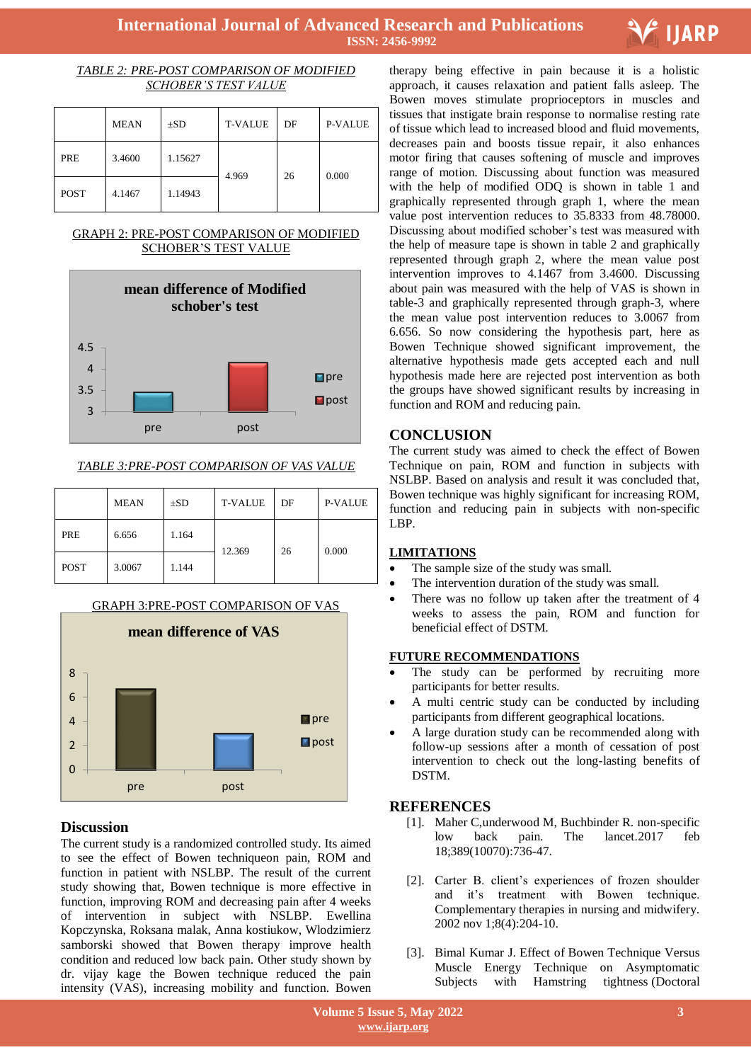

#### *TABLE 2: PRE-POST COMPARISON OF MODIFIED SCHOBER'S TEST VALUE*

|             | <b>MEAN</b> | $\pm$ SD | <b>T-VALUE</b> | DF | <b>P-VALUE</b> |
|-------------|-------------|----------|----------------|----|----------------|
| PRE         | 3.4600      | 1.15627  | 4.969          | 26 | 0.000          |
| <b>POST</b> | 4.1467      | 1.14943  |                |    |                |

#### GRAPH 2: PRE-POST COMPARISON OF MODIFIED SCHOBER"S TEST VALUE



## *TABLE 3:PRE-POST COMPARISON OF VAS VALUE*

|             | <b>MEAN</b> | $\pm SD$ | <b>T-VALUE</b> | DF | <b>P-VALUE</b> |
|-------------|-------------|----------|----------------|----|----------------|
| PRE         | 6.656       | 1.164    | 12.369         | 26 | 0.000          |
| <b>POST</b> | 3.0067      | 1.144    |                |    |                |

## GRAPH 3:PRE-POST COMPARISON OF VAS



# **Discussion**

The current study is a randomized controlled study. Its aimed to see the effect of Bowen techniqueon pain, ROM and function in patient with NSLBP. The result of the current study showing that, Bowen technique is more effective in function, improving ROM and decreasing pain after 4 weeks of intervention in subject with NSLBP. Ewellina Kopczynska, Roksana malak, Anna kostiukow, Wlodzimierz samborski showed that Bowen therapy improve health condition and reduced low back pain. Other study shown by dr. vijay kage the Bowen technique reduced the pain intensity (VAS), increasing mobility and function. Bowen

 therapy being effective in pain because it is a holistic approach, it causes relaxation and patient falls asleep. The Bowen moves stimulate proprioceptors in muscles and tissues that instigate brain response to normalise resting rate of tissue which lead to increased blood and fluid movements, decreases pain and boosts tissue repair, it also enhances motor firing that causes softening of muscle and improves range of motion. Discussing about function was measured with the help of modified ODQ is shown in table 1 and graphically represented through graph 1, where the mean value post intervention reduces to 35.8333 from 48.78000. Discussing about modified schober"s test was measured with the help of measure tape is shown in table 2 and graphically represented through graph 2, where the mean value post intervention improves to 4.1467 from 3.4600. Discussing about pain was measured with the help of VAS is shown in table-3 and graphically represented through graph-3, where the mean value post intervention reduces to 3.0067 from 6.656. So now considering the hypothesis part, here as Bowen Technique showed significant improvement, the alternative hypothesis made gets accepted each and null hypothesis made here are rejected post intervention as both the groups have showed significant results by increasing in function and ROM and reducing pain.

# **CONCLUSION**

The current study was aimed to check the effect of Bowen Technique on pain, ROM and function in subjects with NSLBP. Based on analysis and result it was concluded that, Bowen technique was highly significant for increasing ROM, function and reducing pain in subjects with non-specific LBP.

## **LIMITATIONS**

- The sample size of the study was small.
- The intervention duration of the study was small.
- There was no follow up taken after the treatment of 4 weeks to assess the pain, ROM and function for beneficial effect of DSTM.

## **FUTURE RECOMMENDATIONS**

- The study can be performed by recruiting more participants for better results.
- A multi centric study can be conducted by including participants from different geographical locations.
- A large duration study can be recommended along with follow-up sessions after a month of cessation of post intervention to check out the long-lasting benefits of DSTM.

# **REFERENCES**

- [1]. Maher C,underwood M, Buchbinder R. non-specific low back pain. The lancet.2017 feb 18;389(10070):736-47.
- [2]. Carter B. client"s experiences of frozen shoulder and it"s treatment with Bowen technique. Complementary therapies in nursing and midwifery. 2002 nov 1;8(4):204-10.
- [3]. Bimal Kumar J. Effect of Bowen Technique Versus Muscle Energy Technique on Asymptomatic Subjects with Hamstring tightness (Doctoral